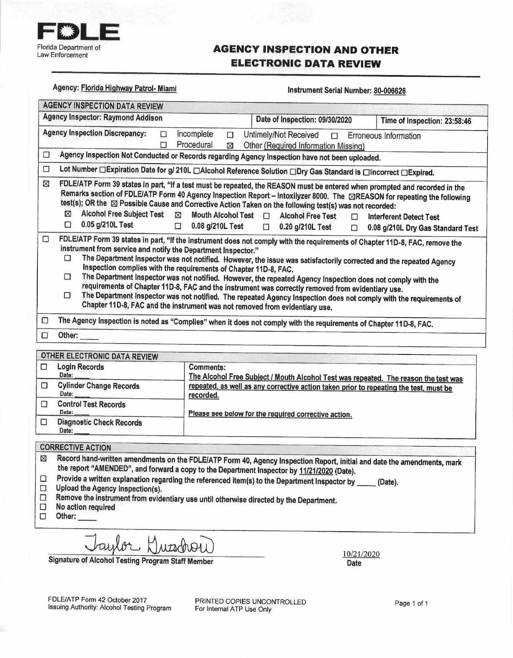

## **AGENCY INSPECTION AND OTHER ELECTRONIC DATA REVIEW**

| Agency: Florida Highway Patrol- Miami                                                           |                                                                                                                                                                                                                                                                                                                                                                                                                                                                                                                                                                                                                                                                                                                                                                                                                                |                                                                   |  | Instrument Serial Number: 80-006626                                                                                                                                                                                   |                              |  |  |
|-------------------------------------------------------------------------------------------------|--------------------------------------------------------------------------------------------------------------------------------------------------------------------------------------------------------------------------------------------------------------------------------------------------------------------------------------------------------------------------------------------------------------------------------------------------------------------------------------------------------------------------------------------------------------------------------------------------------------------------------------------------------------------------------------------------------------------------------------------------------------------------------------------------------------------------------|-------------------------------------------------------------------|--|-----------------------------------------------------------------------------------------------------------------------------------------------------------------------------------------------------------------------|------------------------------|--|--|
|                                                                                                 | <b>AGENCY INSPECTION DATA REVIEW</b>                                                                                                                                                                                                                                                                                                                                                                                                                                                                                                                                                                                                                                                                                                                                                                                           |                                                                   |  |                                                                                                                                                                                                                       |                              |  |  |
|                                                                                                 | <b>Agency Inspector: Raymond Addison</b>                                                                                                                                                                                                                                                                                                                                                                                                                                                                                                                                                                                                                                                                                                                                                                                       |                                                                   |  | Date of Inspection: 09/30/2020                                                                                                                                                                                        | Time of Inspection: 23:58:46 |  |  |
| <b>Agency Inspection Discrepancy:</b><br>Incomplete<br>$\Box$<br>□<br>Procedural<br>$\Box$<br>⊠ |                                                                                                                                                                                                                                                                                                                                                                                                                                                                                                                                                                                                                                                                                                                                                                                                                                |                                                                   |  | Untimely/Not Received<br>Erroneous Information<br>$\Box$<br>Other (Required Information Missing)                                                                                                                      |                              |  |  |
| □                                                                                               | Agency Inspection Not Conducted or Records regarding Agency Inspection have not been uploaded.                                                                                                                                                                                                                                                                                                                                                                                                                                                                                                                                                                                                                                                                                                                                 |                                                                   |  |                                                                                                                                                                                                                       |                              |  |  |
| □                                                                                               | Lot Number □ Expiration Date for g/ 210L □ Alcohol Reference Solution □ Dry Gas Standard is □ Incorrect □ Expired.                                                                                                                                                                                                                                                                                                                                                                                                                                                                                                                                                                                                                                                                                                             |                                                                   |  |                                                                                                                                                                                                                       |                              |  |  |
| ⊠                                                                                               | FDLE/ATP Form 39 states in part, "If a test must be repeated, the REASON must be entered when prompted and recorded in the<br>Remarks section of FDLE/ATP Form 40 Agency Inspection Report - Intoxilyzer 8000. The <b>EXREASON</b> for repeating the following<br>test(s); OR the $\boxtimes$ Possible Cause and Corrective Action Taken on the following test(s) was not recorded:<br>$\boxtimes$<br><b>Alcohol Free Subject Test</b><br>Mouth Alcohol Test <sub>[1]</sub> Alcohol Free Test<br>$\boxtimes$<br>п<br><b>Interferent Detect Test</b><br>$\Box$<br>0.05 g/210L Test<br>$\Box$<br>0.08 g/210L Test<br>$\Box$ 0.20 g/210L Test<br>0.08 g/210L Dry Gas Standard Test<br>$\Box$                                                                                                                                      |                                                                   |  |                                                                                                                                                                                                                       |                              |  |  |
| $\Box$                                                                                          | FDLE/ATP Form 39 states in part, "If the instrument does not comply with the requirements of Chapter 11D-8, FAC, remove the<br>instrument from service and notify the Department Inspector."<br>The Department Inspector was not notified. However, the issue was satisfactorily corrected and the repeated Agency<br>п<br>Inspection complies with the requirements of Chapter 11D-8, FAC.<br>п<br>The Department Inspector was not notified. However, the repeated Agency Inspection does not comply with the<br>requirements of Chapter 11D-8, FAC and the instrument was correctly removed from evidentiary use.<br>Π<br>The Department Inspector was not notified. The repeated Agency Inspection does not comply with the requirements of<br>Chapter 11D-8, FAC and the instrument was not removed from evidentiary use. |                                                                   |  |                                                                                                                                                                                                                       |                              |  |  |
| □                                                                                               |                                                                                                                                                                                                                                                                                                                                                                                                                                                                                                                                                                                                                                                                                                                                                                                                                                |                                                                   |  | The Agency Inspection is noted as "Complies" when it does not comply with the requirements of Chapter 11D-8, FAC.                                                                                                     |                              |  |  |
| □                                                                                               | Other:                                                                                                                                                                                                                                                                                                                                                                                                                                                                                                                                                                                                                                                                                                                                                                                                                         |                                                                   |  |                                                                                                                                                                                                                       |                              |  |  |
|                                                                                                 | OTHER ELECTRONIC DATA REVIEW                                                                                                                                                                                                                                                                                                                                                                                                                                                                                                                                                                                                                                                                                                                                                                                                   |                                                                   |  |                                                                                                                                                                                                                       |                              |  |  |
| $\Box$                                                                                          | <b>Login Records</b>                                                                                                                                                                                                                                                                                                                                                                                                                                                                                                                                                                                                                                                                                                                                                                                                           | <b>Comments:</b>                                                  |  |                                                                                                                                                                                                                       |                              |  |  |
| □                                                                                               | Date:<br>The Alcohol Free Subject / Mouth Alcohol Test was repeated. The reason the test was<br><b>Cylinder Change Records</b><br>repeated, as well as any corrective action taken prior to repeating the test, must be<br>Date:                                                                                                                                                                                                                                                                                                                                                                                                                                                                                                                                                                                               |                                                                   |  |                                                                                                                                                                                                                       |                              |  |  |
| □                                                                                               | <b>Control Test Records</b><br>Date:                                                                                                                                                                                                                                                                                                                                                                                                                                                                                                                                                                                                                                                                                                                                                                                           | recorded.<br>Please see below for the required corrective action. |  |                                                                                                                                                                                                                       |                              |  |  |
| О                                                                                               | <b>Diagnostic Check Records</b><br>Date:                                                                                                                                                                                                                                                                                                                                                                                                                                                                                                                                                                                                                                                                                                                                                                                       |                                                                   |  |                                                                                                                                                                                                                       |                              |  |  |
|                                                                                                 | <b>CORRECTIVE ACTION</b>                                                                                                                                                                                                                                                                                                                                                                                                                                                                                                                                                                                                                                                                                                                                                                                                       |                                                                   |  |                                                                                                                                                                                                                       |                              |  |  |
| ⊠                                                                                               |                                                                                                                                                                                                                                                                                                                                                                                                                                                                                                                                                                                                                                                                                                                                                                                                                                |                                                                   |  | Record hand-written amendments on the FDLE/ATP Form 40, Agency Inspection Report, initial and date the amendments, mark<br>the report "AMENDED", and forward a copy to the Department Inspector by 11/21/2020 (Date). |                              |  |  |
| О<br>α<br>□<br>$\Box$<br>$\Box$                                                                 | Provide a written explanation regarding the referenced item(s) to the Department Inspector by _____ (Date).<br>Upload the Agency Inspection(s).<br>Remove the instrument from evidentiary use until otherwise directed by the Department.<br>No action required<br>Other:                                                                                                                                                                                                                                                                                                                                                                                                                                                                                                                                                      |                                                                   |  |                                                                                                                                                                                                                       |                              |  |  |

Wadday

**Signature of Alcohol Testing Program Staff Member** 

10/21/2020 Date

FDLE/ATP Form 42 October 2017 Issuing Authority: Alcohol Testing Program

PRINTED COPIES UNCONTROLLED For Internal ATP Use Only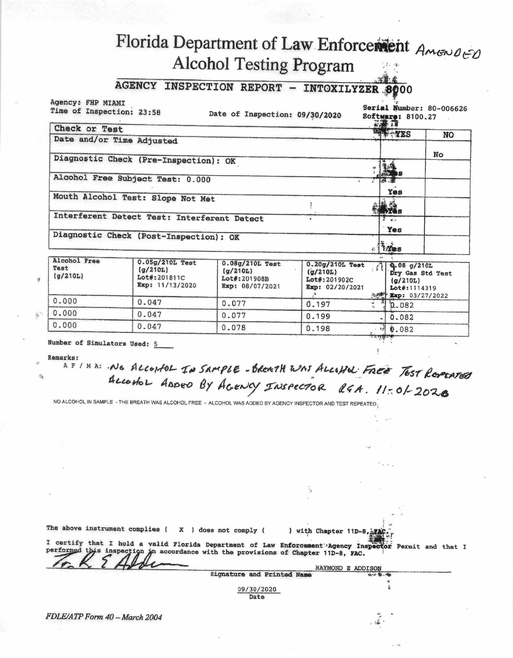## Florida Department of Law Enforcement Amended **Alcohol Testing Program**

## (全) 全 AGENCY INSPECTION REPORT - INTOXILYZER 8000

Agency: FHP MIAMI Time of Inspection: 23:58

Date of Inspection: 09/30/2020

Serial Number: 80-006626 Software: 8100.27

| Check or Test                               | 47 28          |           |
|---------------------------------------------|----------------|-----------|
|                                             | <b>STANDES</b> | <b>NO</b> |
| Date and/or Time Adjusted                   |                |           |
|                                             |                | No        |
| Diagnostic Check (Pre-Inspection): OK       |                |           |
| Alcohol Free Subject Test: 0.000            | 4. 大陆          |           |
| Mouth Alcohol Test: Slope Not Met           | Yes            |           |
|                                             | W.             |           |
| Interferent Detect Test: Interferent Detect | $\frac{1}{2}$  |           |
|                                             | Yes            |           |
| Diagnostic Check (Post-Inspection): OK      | <b>TARES</b>   |           |

| Alcohol Free<br>Test<br>(q/210L) | 0.05g/210L Test<br>(g/210L)<br>Lot#:201811C<br>Exp: 11/13/2020 | 0.08g/210L Test<br>(q/210L)<br>Lot#:201908B<br>Exp: 08/07/2021 | 0.20g/210L Test<br>(g/210L)<br>Lot#:201902C<br>Exp: 02/20/2021 | $\sqrt{Q_0.08 g/210L}$<br>Dry Gas Std Test<br>$\sigma/210L$<br>Lot#:1114319<br>永感   星xp: 03/27/2022 |
|----------------------------------|----------------------------------------------------------------|----------------------------------------------------------------|----------------------------------------------------------------|-----------------------------------------------------------------------------------------------------|
| 0.000                            | 0.047                                                          | 0.077                                                          | 0.197                                                          | $\frac{3}{4}$ 0.082                                                                                 |
| 0.000                            | 0.047                                                          | 0.077                                                          | 0.199                                                          | 0.082                                                                                               |
| 0.000                            | 0.047                                                          | 0.078                                                          | 0.198                                                          | 9.082                                                                                               |
|                                  |                                                                |                                                                |                                                                | <b>CONTRACTOR IN AN INCOME.</b>                                                                     |

Number of Simulators Used: 5

**Remarks:** 

EXE: MA: NG ALCONFOL IN SAMPLE - BREATH WAS ALCONDLE FREE TOST REPEATED Accordor ADDED BY AGENCY INSPECTOR RGA. 11:01-2020

۰.

NO ALCOHOL IN SAMPLE - THE BREATH WAS ALCOHOL FREE - ALCOHOL WAS ADDED BY AGENCY INSPECTOR AND TEST REPEATED

| The above instrument complies ( X ) does not comply (                              | With Chapter 11D-8.                                                                                    |  |
|------------------------------------------------------------------------------------|--------------------------------------------------------------------------------------------------------|--|
| performed this inspection in accordance with the provisions of Chapter 11D-8, FAC. | I certify that I hold a valid Florida Department of Law Enforcement Agency Inspector Permit and that I |  |
|                                                                                    | RAYMOND E ADDISON                                                                                      |  |

09/30/2020 Date

Signature and Printed Name

FDLE/ATP Form 40 - March 2004